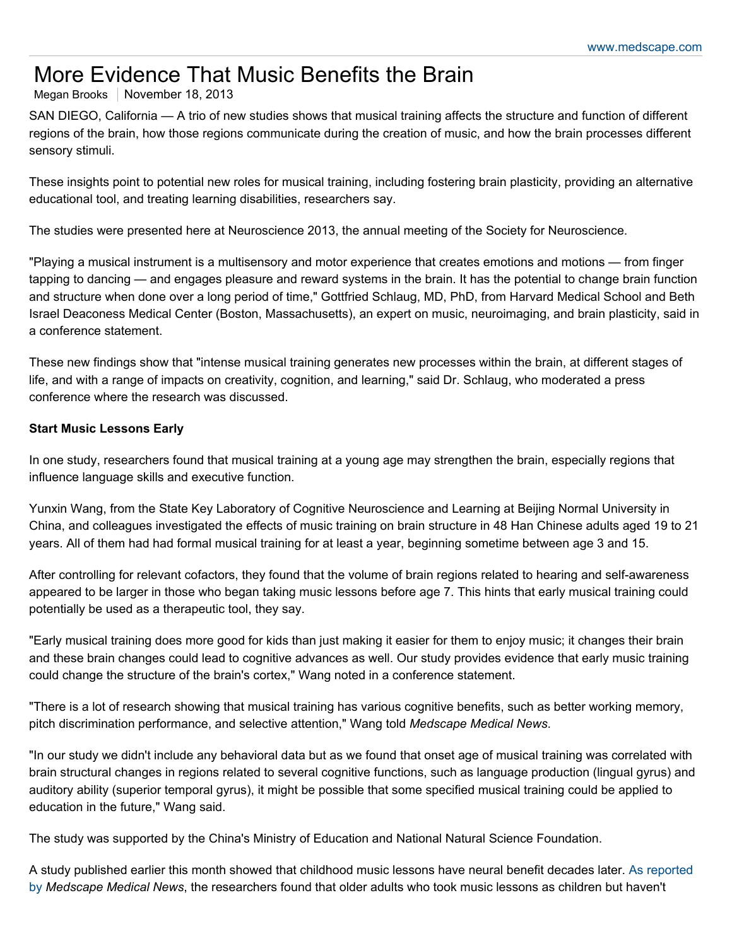# More Evidence That Music Benefits the Brain

# Megan Brooks | November 18, 2013

SAN DIEGO, California — A trio of new studies shows that musical training affects the structure and function of different regions of the brain, how those regions communicate during the creation of music, and how the brain processes different sensory stimuli.

These insights point to potential new roles for musical training, including fostering brain plasticity, providing an alternative educational tool, and treating learning disabilities, researchers say.

The studies were presented here at Neuroscience 2013, the annual meeting of the Society for Neuroscience.

"Playing a musical instrument is a multisensory and motor experience that creates emotions and motions — from finger tapping to dancing — and engages pleasure and reward systems in the brain. It has the potential to change brain function and structure when done over a long period of time," Gottfried Schlaug, MD, PhD, from Harvard Medical School and Beth Israel Deaconess Medical Center (Boston, Massachusetts), an expert on music, neuroimaging, and brain plasticity, said in a conference statement.

These new findings show that "intense musical training generates new processes within the brain, at different stages of life, and with a range of impacts on creativity, cognition, and learning," said Dr. Schlaug, who moderated a press conference where the research was discussed.

#### **Start Music Lessons Early**

In one study, researchers found that musical training at a young age may strengthen the brain, especially regions that influence language skills and executive function.

Yunxin Wang, from the State Key Laboratory of Cognitive Neuroscience and Learning at Beijing Normal University in China, and colleagues investigated the effects of music training on brain structure in 48 Han Chinese adults aged 19 to 21 years. All of them had had formal musical training for at least a year, beginning sometime between age 3 and 15.

After controlling for relevant cofactors, they found that the volume of brain regions related to hearing and self-awareness appeared to be larger in those who began taking music lessons before age 7. This hints that early musical training could potentially be used as a therapeutic tool, they say.

"Early musical training does more good for kids than just making it easier for them to enjoy music; it changes their brain and these brain changes could lead to cognitive advances as well. Our study provides evidence that early music training could change the structure of the brain's cortex," Wang noted in a conference statement.

"There is a lot of research showing that musical training has various cognitive benefits, such as better working memory, pitch discrimination performance, and selective attention," Wang told *Medscape Medical News*.

"In our study we didn't include any behavioral data but as we found that onset age of musical training was correlated with brain structural changes in regions related to several cognitive functions, such as language production (lingual gyrus) and auditory ability (superior temporal gyrus), it might be possible that some specified musical training could be applied to education in the future," Wang said.

The study was supported by the China's Ministry of Education and National Natural Science Foundation.

[A study published earlier this month showed that childhood music lessons have neural benefit decades later. As reported](http://www.medscape.com/viewarticle/814153) by *Medscape Medical News*, the researchers found that older adults who took music lessons as children but haven't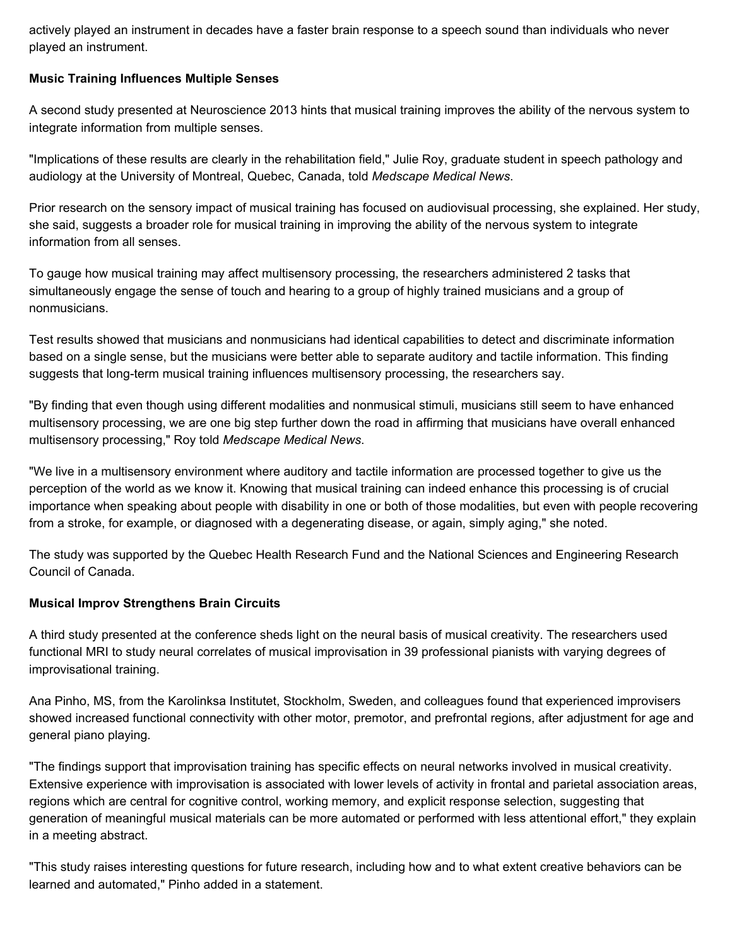actively played an instrument in decades have a faster brain response to a speech sound than individuals who never played an instrument.

## **Music Training Influences Multiple Senses**

A second study presented at Neuroscience 2013 hints that musical training improves the ability of the nervous system to integrate information from multiple senses.

"Implications of these results are clearly in the rehabilitation field," Julie Roy, graduate student in speech pathology and audiology at the University of Montreal, Quebec, Canada, told *Medscape Medical News*.

Prior research on the sensory impact of musical training has focused on audiovisual processing, she explained. Her study, she said, suggests a broader role for musical training in improving the ability of the nervous system to integrate information from all senses.

To gauge how musical training may affect multisensory processing, the researchers administered 2 tasks that simultaneously engage the sense of touch and hearing to a group of highly trained musicians and a group of nonmusicians.

Test results showed that musicians and nonmusicians had identical capabilities to detect and discriminate information based on a single sense, but the musicians were better able to separate auditory and tactile information. This finding suggests that long-term musical training influences multisensory processing, the researchers say.

"By finding that even though using different modalities and nonmusical stimuli, musicians still seem to have enhanced multisensory processing, we are one big step further down the road in affirming that musicians have overall enhanced multisensory processing," Roy told *Medscape Medical News*.

"We live in a multisensory environment where auditory and tactile information are processed together to give us the perception of the world as we know it. Knowing that musical training can indeed enhance this processing is of crucial importance when speaking about people with disability in one or both of those modalities, but even with people recovering from a stroke, for example, or diagnosed with a degenerating disease, or again, simply aging," she noted.

The study was supported by the Quebec Health Research Fund and the National Sciences and Engineering Research Council of Canada.

## **Musical Improv Strengthens Brain Circuits**

A third study presented at the conference sheds light on the neural basis of musical creativity. The researchers used functional MRI to study neural correlates of musical improvisation in 39 professional pianists with varying degrees of improvisational training.

Ana Pinho, MS, from the Karolinksa Institutet, Stockholm, Sweden, and colleagues found that experienced improvisers showed increased functional connectivity with other motor, premotor, and prefrontal regions, after adjustment for age and general piano playing.

"The findings support that improvisation training has specific effects on neural networks involved in musical creativity. Extensive experience with improvisation is associated with lower levels of activity in frontal and parietal association areas, regions which are central for cognitive control, working memory, and explicit response selection, suggesting that generation of meaningful musical materials can be more automated or performed with less attentional effort," they explain in a meeting abstract.

"This study raises interesting questions for future research, including how and to what extent creative behaviors can be learned and automated," Pinho added in a statement.